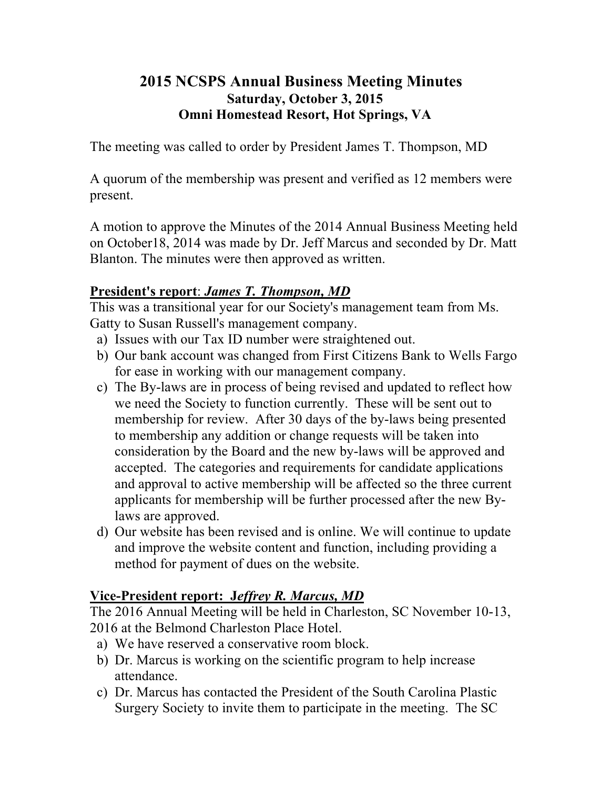# **2015 NCSPS Annual Business Meeting Minutes Saturday, October 3, 2015 Omni Homestead Resort, Hot Springs, VA**

The meeting was called to order by President James T. Thompson, MD

A quorum of the membership was present and verified as 12 members were present.

A motion to approve the Minutes of the 2014 Annual Business Meeting held on October18, 2014 was made by Dr. Jeff Marcus and seconded by Dr. Matt Blanton. The minutes were then approved as written.

### **President's report**: *James T. Thompson, MD*

This was a transitional year for our Society's management team from Ms. Gatty to Susan Russell's management company.

- a) Issues with our Tax ID number were straightened out.
- b) Our bank account was changed from First Citizens Bank to Wells Fargo for ease in working with our management company.
- c) The By-laws are in process of being revised and updated to reflect how we need the Society to function currently. These will be sent out to membership for review. After 30 days of the by-laws being presented to membership any addition or change requests will be taken into consideration by the Board and the new by-laws will be approved and accepted. The categories and requirements for candidate applications and approval to active membership will be affected so the three current applicants for membership will be further processed after the new Bylaws are approved.
- d) Our website has been revised and is online. We will continue to update and improve the website content and function, including providing a method for payment of dues on the website.

# **Vice-President report: J***effrey R. Marcus, MD*

The 2016 Annual Meeting will be held in Charleston, SC November 10-13, 2016 at the Belmond Charleston Place Hotel.

- a) We have reserved a conservative room block.
- b) Dr. Marcus is working on the scientific program to help increase attendance.
- c) Dr. Marcus has contacted the President of the South Carolina Plastic Surgery Society to invite them to participate in the meeting. The SC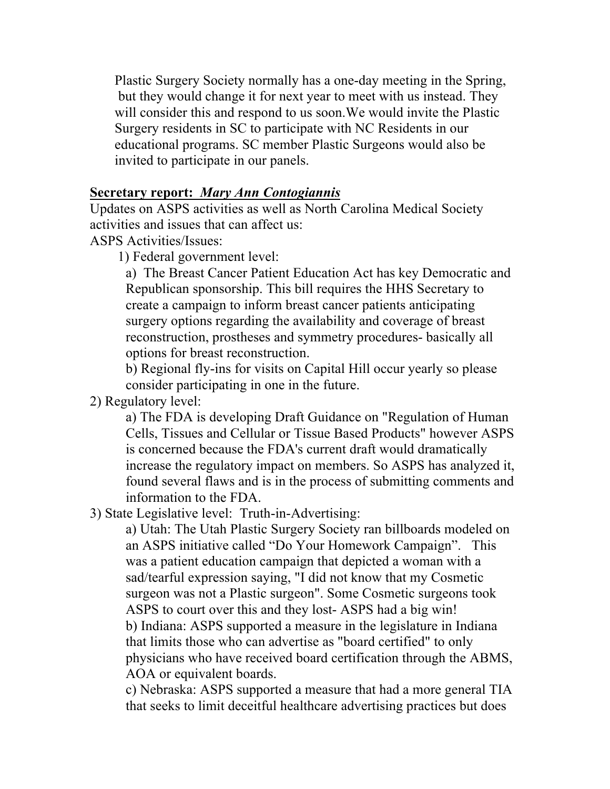Plastic Surgery Society normally has a one-day meeting in the Spring, but they would change it for next year to meet with us instead. They will consider this and respond to us soon.We would invite the Plastic Surgery residents in SC to participate with NC Residents in our educational programs. SC member Plastic Surgeons would also be invited to participate in our panels.

#### **Secretary report:** *Mary Ann Contogiannis*

Updates on ASPS activities as well as North Carolina Medical Society activities and issues that can affect us:

ASPS Activities/Issues:

1) Federal government level:

a) The Breast Cancer Patient Education Act has key Democratic and Republican sponsorship. This bill requires the HHS Secretary to create a campaign to inform breast cancer patients anticipating surgery options regarding the availability and coverage of breast reconstruction, prostheses and symmetry procedures- basically all options for breast reconstruction.

b) Regional fly-ins for visits on Capital Hill occur yearly so please consider participating in one in the future.

2) Regulatory level:

a) The FDA is developing Draft Guidance on "Regulation of Human Cells, Tissues and Cellular or Tissue Based Products" however ASPS is concerned because the FDA's current draft would dramatically increase the regulatory impact on members. So ASPS has analyzed it, found several flaws and is in the process of submitting comments and information to the FDA.

3) State Legislative level: Truth-in-Advertising:

a) Utah: The Utah Plastic Surgery Society ran billboards modeled on an ASPS initiative called "Do Your Homework Campaign". This was a patient education campaign that depicted a woman with a sad/tearful expression saying, "I did not know that my Cosmetic surgeon was not a Plastic surgeon". Some Cosmetic surgeons took ASPS to court over this and they lost- ASPS had a big win! b) Indiana: ASPS supported a measure in the legislature in Indiana that limits those who can advertise as "board certified" to only physicians who have received board certification through the ABMS, AOA or equivalent boards.

c) Nebraska: ASPS supported a measure that had a more general TIA that seeks to limit deceitful healthcare advertising practices but does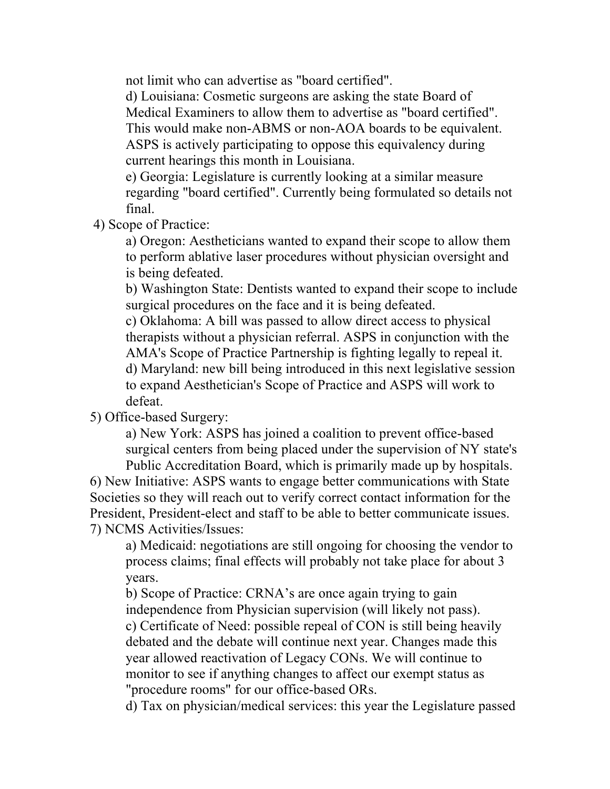not limit who can advertise as "board certified".

d) Louisiana: Cosmetic surgeons are asking the state Board of Medical Examiners to allow them to advertise as "board certified". This would make non-ABMS or non-AOA boards to be equivalent. ASPS is actively participating to oppose this equivalency during current hearings this month in Louisiana.

e) Georgia: Legislature is currently looking at a similar measure regarding "board certified". Currently being formulated so details not final.

4) Scope of Practice:

a) Oregon: Aestheticians wanted to expand their scope to allow them to perform ablative laser procedures without physician oversight and is being defeated.

b) Washington State: Dentists wanted to expand their scope to include surgical procedures on the face and it is being defeated.

c) Oklahoma: A bill was passed to allow direct access to physical therapists without a physician referral. ASPS in conjunction with the AMA's Scope of Practice Partnership is fighting legally to repeal it. d) Maryland: new bill being introduced in this next legislative session to expand Aesthetician's Scope of Practice and ASPS will work to defeat.

5) Office-based Surgery:

a) New York: ASPS has joined a coalition to prevent office-based surgical centers from being placed under the supervision of NY state's

Public Accreditation Board, which is primarily made up by hospitals. 6) New Initiative: ASPS wants to engage better communications with State Societies so they will reach out to verify correct contact information for the President, President-elect and staff to be able to better communicate issues. 7) NCMS Activities/Issues:

a) Medicaid: negotiations are still ongoing for choosing the vendor to process claims; final effects will probably not take place for about 3 years.

b) Scope of Practice: CRNA's are once again trying to gain independence from Physician supervision (will likely not pass). c) Certificate of Need: possible repeal of CON is still being heavily debated and the debate will continue next year. Changes made this year allowed reactivation of Legacy CONs. We will continue to monitor to see if anything changes to affect our exempt status as "procedure rooms" for our office-based ORs.

d) Tax on physician/medical services: this year the Legislature passed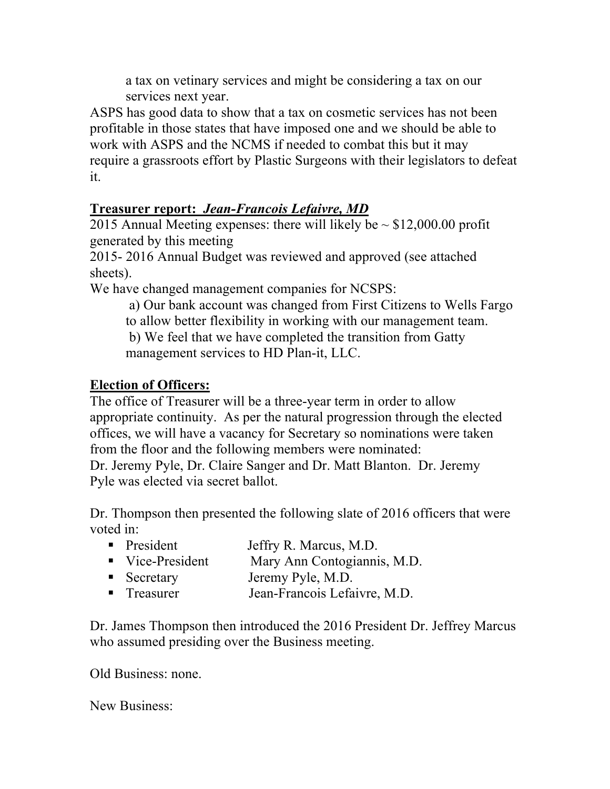a tax on vetinary services and might be considering a tax on our services next year.

ASPS has good data to show that a tax on cosmetic services has not been profitable in those states that have imposed one and we should be able to work with ASPS and the NCMS if needed to combat this but it may require a grassroots effort by Plastic Surgeons with their legislators to defeat it.

### **Treasurer report:** *Jean-Francois Lefaivre, MD*

2015 Annual Meeting expenses: there will likely be  $\sim$  \$12,000.00 profit generated by this meeting

2015- 2016 Annual Budget was reviewed and approved (see attached sheets).

We have changed management companies for NCSPS:

a) Our bank account was changed from First Citizens to Wells Fargo to allow better flexibility in working with our management team. b) We feel that we have completed the transition from Gatty

management services to HD Plan-it, LLC.

### **Election of Officers:**

The office of Treasurer will be a three-year term in order to allow appropriate continuity. As per the natural progression through the elected offices, we will have a vacancy for Secretary so nominations were taken from the floor and the following members were nominated:

Dr. Jeremy Pyle, Dr. Claire Sanger and Dr. Matt Blanton. Dr. Jeremy Pyle was elected via secret ballot.

Dr. Thompson then presented the following slate of 2016 officers that were voted in:

- **President Jeffry R. Marcus, M.D.**
- ! Vice-President Mary Ann Contogiannis, M.D.
- **Exercise Secretary Secretary Jeremy Pyle, M.D.**
- ! Treasurer Jean-Francois Lefaivre, M.D.

Dr. James Thompson then introduced the 2016 President Dr. Jeffrey Marcus who assumed presiding over the Business meeting.

Old Business: none.

New Business: